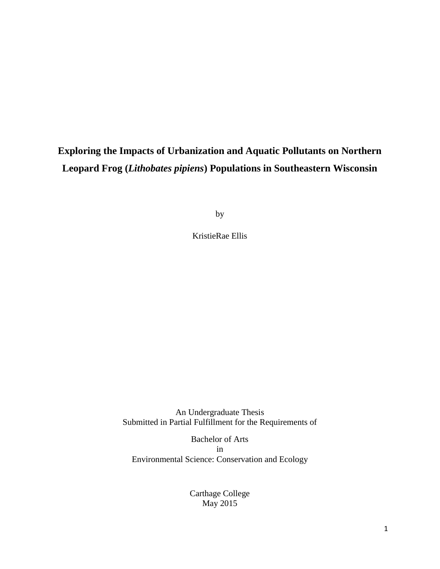# **Exploring the Impacts of Urbanization and Aquatic Pollutants on Northern Leopard Frog (***Lithobates pipiens***) Populations in Southeastern Wisconsin**

by

KristieRae Ellis

An Undergraduate Thesis Submitted in Partial Fulfillment for the Requirements of

Bachelor of Arts in Environmental Science: Conservation and Ecology

> Carthage College May 2015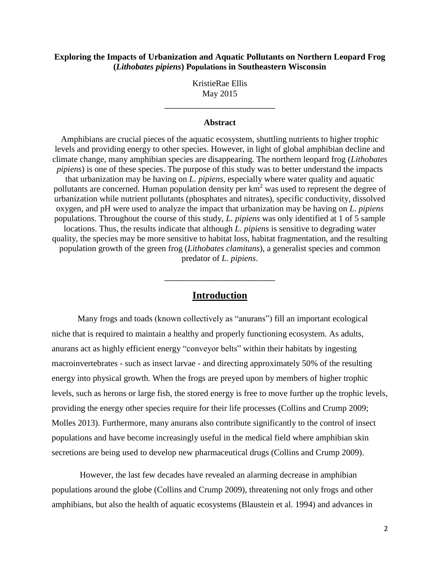### **Exploring the Impacts of Urbanization and Aquatic Pollutants on Northern Leopard Frog (***Lithobates pipiens***) Populations in Southeastern Wisconsin**

KristieRae Ellis May 2015

\_\_\_\_\_\_\_\_\_\_\_\_\_\_\_\_\_\_\_\_\_\_

### **Abstract**

Amphibians are crucial pieces of the aquatic ecosystem, shuttling nutrients to higher trophic levels and providing energy to other species. However, in light of global amphibian decline and climate change, many amphibian species are disappearing. The northern leopard frog (*Lithobates pipiens*) is one of these species. The purpose of this study was to better understand the impacts that urbanization may be having on *L. pipiens*, especially where water quality and aquatic pollutants are concerned. Human population density per  $km^2$  was used to represent the degree of urbanization while nutrient pollutants (phosphates and nitrates), specific conductivity, dissolved oxygen, and pH were used to analyze the impact that urbanization may be having on *L. pipiens* populations. Throughout the course of this study, *L. pipiens* was only identified at 1 of 5 sample locations. Thus, the results indicate that although *L. pipiens* is sensitive to degrading water quality, the species may be more sensitive to habitat loss, habitat fragmentation, and the resulting population growth of the green frog (*Lithobates clamitans*), a generalist species and common predator of *L. pipiens*.

### **Introduction**

\_\_\_\_\_\_\_\_\_\_\_\_\_\_\_\_\_\_\_\_\_\_

Many frogs and toads (known collectively as "anurans") fill an important ecological niche that is required to maintain a healthy and properly functioning ecosystem. As adults, anurans act as highly efficient energy "conveyor belts" within their habitats by ingesting macroinvertebrates - such as insect larvae - and directing approximately 50% of the resulting energy into physical growth. When the frogs are preyed upon by members of higher trophic levels, such as herons or large fish, the stored energy is free to move further up the trophic levels, providing the energy other species require for their life processes (Collins and Crump 2009; Molles 2013). Furthermore, many anurans also contribute significantly to the control of insect populations and have become increasingly useful in the medical field where amphibian skin secretions are being used to develop new pharmaceutical drugs (Collins and Crump 2009).

However, the last few decades have revealed an alarming decrease in amphibian populations around the globe (Collins and Crump 2009), threatening not only frogs and other amphibians, but also the health of aquatic ecosystems (Blaustein et al. 1994) and advances in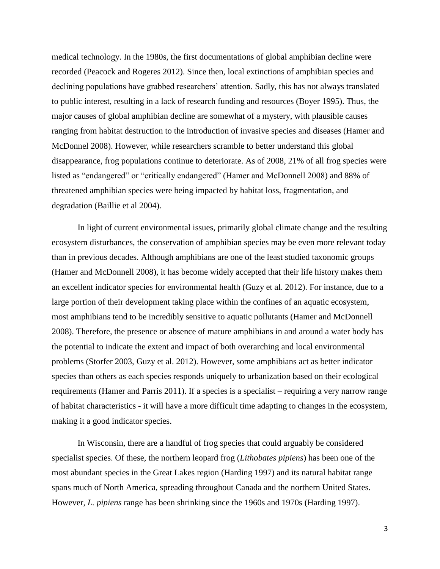medical technology. In the 1980s, the first documentations of global amphibian decline were recorded (Peacock and Rogeres 2012). Since then, local extinctions of amphibian species and declining populations have grabbed researchers' attention. Sadly, this has not always translated to public interest, resulting in a lack of research funding and resources (Boyer 1995). Thus, the major causes of global amphibian decline are somewhat of a mystery, with plausible causes ranging from habitat destruction to the introduction of invasive species and diseases (Hamer and McDonnel 2008). However, while researchers scramble to better understand this global disappearance, frog populations continue to deteriorate. As of 2008, 21% of all frog species were listed as "endangered" or "critically endangered" (Hamer and McDonnell 2008) and 88% of threatened amphibian species were being impacted by habitat loss, fragmentation, and degradation (Baillie et al 2004).

In light of current environmental issues, primarily global climate change and the resulting ecosystem disturbances, the conservation of amphibian species may be even more relevant today than in previous decades. Although amphibians are one of the least studied taxonomic groups (Hamer and McDonnell 2008), it has become widely accepted that their life history makes them an excellent indicator species for environmental health (Guzy et al. 2012). For instance, due to a large portion of their development taking place within the confines of an aquatic ecosystem, most amphibians tend to be incredibly sensitive to aquatic pollutants (Hamer and McDonnell 2008). Therefore, the presence or absence of mature amphibians in and around a water body has the potential to indicate the extent and impact of both overarching and local environmental problems (Storfer 2003, Guzy et al. 2012). However, some amphibians act as better indicator species than others as each species responds uniquely to urbanization based on their ecological requirements (Hamer and Parris 2011). If a species is a specialist – requiring a very narrow range of habitat characteristics - it will have a more difficult time adapting to changes in the ecosystem, making it a good indicator species.

In Wisconsin, there are a handful of frog species that could arguably be considered specialist species. Of these, the northern leopard frog (*Lithobates pipiens*) has been one of the most abundant species in the Great Lakes region (Harding 1997) and its natural habitat range spans much of North America, spreading throughout Canada and the northern United States. However, *L. pipiens* range has been shrinking since the 1960s and 1970s (Harding 1997).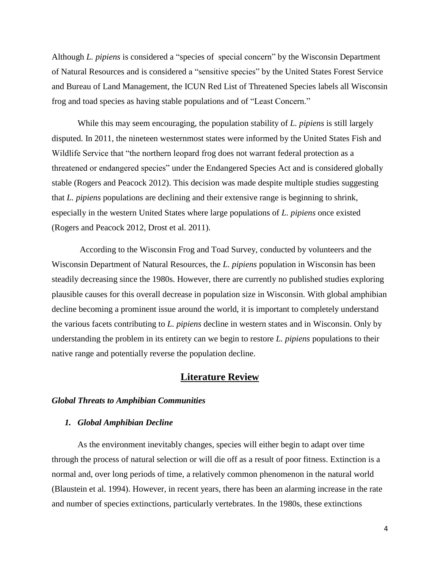Although *L. pipiens* is considered a "species of special concern" by the Wisconsin Department of Natural Resources and is considered a "sensitive species" by the United States Forest Service and Bureau of Land Management, the ICUN Red List of Threatened Species labels all Wisconsin frog and toad species as having stable populations and of "Least Concern."

While this may seem encouraging, the population stability of *L. pipiens* is still largely disputed. In 2011, the nineteen westernmost states were informed by the United States Fish and Wildlife Service that "the northern leopard frog does not warrant federal protection as a threatened or endangered species" under the Endangered Species Act and is considered globally stable (Rogers and Peacock 2012). This decision was made despite multiple studies suggesting that *L. pipiens* populations are declining and their extensive range is beginning to shrink, especially in the western United States where large populations of *L. pipiens* once existed (Rogers and Peacock 2012, Drost et al. 2011).

According to the Wisconsin Frog and Toad Survey, conducted by volunteers and the Wisconsin Department of Natural Resources, the *L. pipiens* population in Wisconsin has been steadily decreasing since the 1980s. However, there are currently no published studies exploring plausible causes for this overall decrease in population size in Wisconsin. With global amphibian decline becoming a prominent issue around the world, it is important to completely understand the various facets contributing to *L. pipiens* decline in western states and in Wisconsin. Only by understanding the problem in its entirety can we begin to restore *L. pipiens* populations to their native range and potentially reverse the population decline.

# **Literature Review**

### *Global Threats to Amphibian Communities*

### *1. Global Amphibian Decline*

As the environment inevitably changes, species will either begin to adapt over time through the process of natural selection or will die off as a result of poor fitness. Extinction is a normal and, over long periods of time, a relatively common phenomenon in the natural world (Blaustein et al. 1994). However, in recent years, there has been an alarming increase in the rate and number of species extinctions, particularly vertebrates. In the 1980s, these extinctions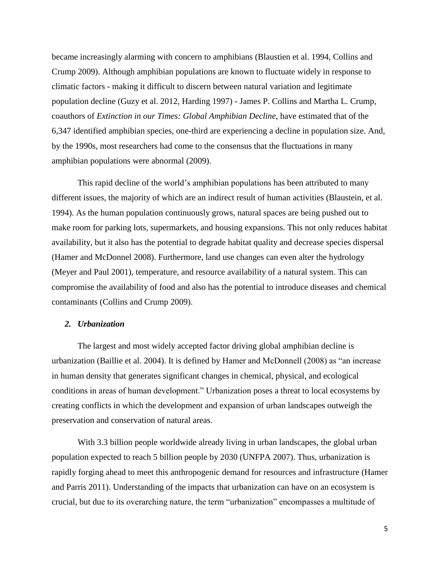became increasingly alarming with concern to amphibians (Blaustien et al. 1994, Collins and Crump 2009). Although amphibian populations are known to fluctuate widely in response to climatic factors - making it difficult to discern between natural variation and legitimate population decline (Guzy et al. 2012, Harding 1997) - James P. Collins and Martha L. Crump, coauthors of *Extinction in our Times: Global Amphibian Decline*, have estimated that of the 6,347 identified amphibian species, one-third are experiencing a decline in population size. And, by the 1990s, most researchers had come to the consensus that the fluctuations in many amphibian populations were abnormal (2009).

This rapid decline of the world's amphibian populations has been attributed to many different issues, the majority of which are an indirect result of human activities (Blaustein, et al. 1994). As the human population continuously grows, natural spaces are being pushed out to make room for parking lots, supermarkets, and housing expansions. This not only reduces habitat availability, but it also has the potential to degrade habitat quality and decrease species dispersal (Hamer and McDonnel 2008). Furthermore, land use changes can even alter the hydrology (Meyer and Paul 2001), temperature, and resource availability of a natural system. This can compromise the availability of food and also has the potential to introduce diseases and chemical contaminants (Collins and Crump 2009).

### *2. Urbanization*

The largest and most widely accepted factor driving global amphibian decline is urbanization (Baillie et al. 2004). It is defined by Hamer and McDonnell (2008) as "an increase in human density that generates significant changes in chemical, physical, and ecological conditions in areas of human development." Urbanization poses a threat to local ecosystems by creating conflicts in which the development and expansion of urban landscapes outweigh the preservation and conservation of natural areas.

With 3.3 billion people worldwide already living in urban landscapes, the global urban population expected to reach 5 billion people by 2030 (UNFPA 2007). Thus, urbanization is rapidly forging ahead to meet this anthropogenic demand for resources and infrastructure (Hamer and Parris 2011). Understanding of the impacts that urbanization can have on an ecosystem is crucial, but due to its overarching nature, the term "urbanization" encompasses a multitude of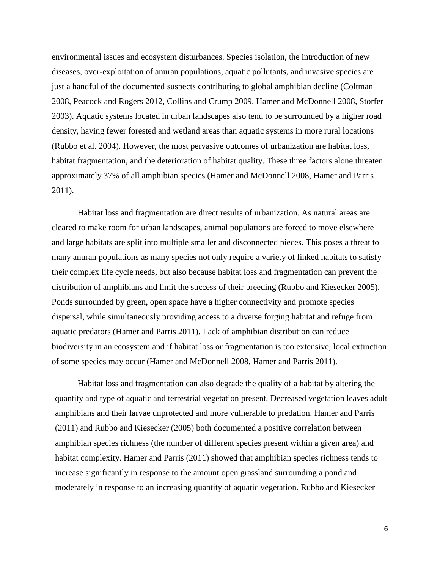environmental issues and ecosystem disturbances. Species isolation, the introduction of new diseases, over-exploitation of anuran populations, aquatic pollutants, and invasive species are just a handful of the documented suspects contributing to global amphibian decline (Coltman 2008, Peacock and Rogers 2012, Collins and Crump 2009, Hamer and McDonnell 2008, Storfer 2003). Aquatic systems located in urban landscapes also tend to be surrounded by a higher road density, having fewer forested and wetland areas than aquatic systems in more rural locations (Rubbo et al. 2004). However, the most pervasive outcomes of urbanization are habitat loss, habitat fragmentation, and the deterioration of habitat quality. These three factors alone threaten approximately 37% of all amphibian species (Hamer and McDonnell 2008, Hamer and Parris 2011).

Habitat loss and fragmentation are direct results of urbanization. As natural areas are cleared to make room for urban landscapes, animal populations are forced to move elsewhere and large habitats are split into multiple smaller and disconnected pieces. This poses a threat to many anuran populations as many species not only require a variety of linked habitats to satisfy their complex life cycle needs, but also because habitat loss and fragmentation can prevent the distribution of amphibians and limit the success of their breeding (Rubbo and Kiesecker 2005). Ponds surrounded by green, open space have a higher connectivity and promote species dispersal, while simultaneously providing access to a diverse forging habitat and refuge from aquatic predators (Hamer and Parris 2011). Lack of amphibian distribution can reduce biodiversity in an ecosystem and if habitat loss or fragmentation is too extensive, local extinction of some species may occur (Hamer and McDonnell 2008, Hamer and Parris 2011).

Habitat loss and fragmentation can also degrade the quality of a habitat by altering the quantity and type of aquatic and terrestrial vegetation present. Decreased vegetation leaves adult amphibians and their larvae unprotected and more vulnerable to predation. Hamer and Parris (2011) and Rubbo and Kiesecker (2005) both documented a positive correlation between amphibian species richness (the number of different species present within a given area) and habitat complexity. Hamer and Parris (2011) showed that amphibian species richness tends to increase significantly in response to the amount open grassland surrounding a pond and moderately in response to an increasing quantity of aquatic vegetation. Rubbo and Kiesecker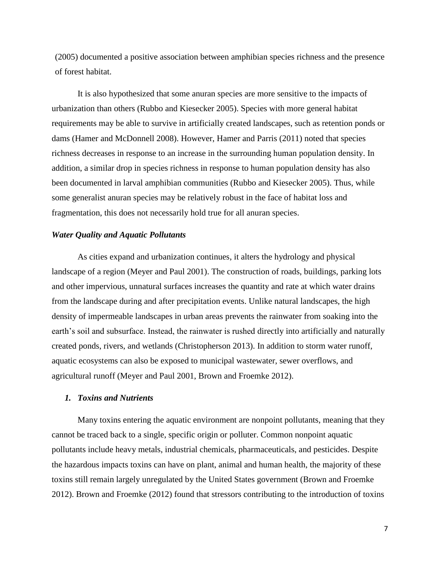(2005) documented a positive association between amphibian species richness and the presence of forest habitat.

It is also hypothesized that some anuran species are more sensitive to the impacts of urbanization than others (Rubbo and Kiesecker 2005). Species with more general habitat requirements may be able to survive in artificially created landscapes, such as retention ponds or dams (Hamer and McDonnell 2008). However, Hamer and Parris (2011) noted that species richness decreases in response to an increase in the surrounding human population density. In addition, a similar drop in species richness in response to human population density has also been documented in larval amphibian communities (Rubbo and Kiesecker 2005). Thus, while some generalist anuran species may be relatively robust in the face of habitat loss and fragmentation, this does not necessarily hold true for all anuran species.

### *Water Quality and Aquatic Pollutants*

As cities expand and urbanization continues, it alters the hydrology and physical landscape of a region (Meyer and Paul 2001). The construction of roads, buildings, parking lots and other impervious, unnatural surfaces increases the quantity and rate at which water drains from the landscape during and after precipitation events. Unlike natural landscapes, the high density of impermeable landscapes in urban areas prevents the rainwater from soaking into the earth's soil and subsurface. Instead, the rainwater is rushed directly into artificially and naturally created ponds, rivers, and wetlands (Christopherson 2013). In addition to storm water runoff, aquatic ecosystems can also be exposed to municipal wastewater, sewer overflows, and agricultural runoff (Meyer and Paul 2001, Brown and Froemke 2012).

### *1. Toxins and Nutrients*

Many toxins entering the aquatic environment are nonpoint pollutants, meaning that they cannot be traced back to a single, specific origin or polluter. Common nonpoint aquatic pollutants include heavy metals, industrial chemicals, pharmaceuticals, and pesticides. Despite the hazardous impacts toxins can have on plant, animal and human health, the majority of these toxins still remain largely unregulated by the United States government (Brown and Froemke 2012). Brown and Froemke (2012) found that stressors contributing to the introduction of toxins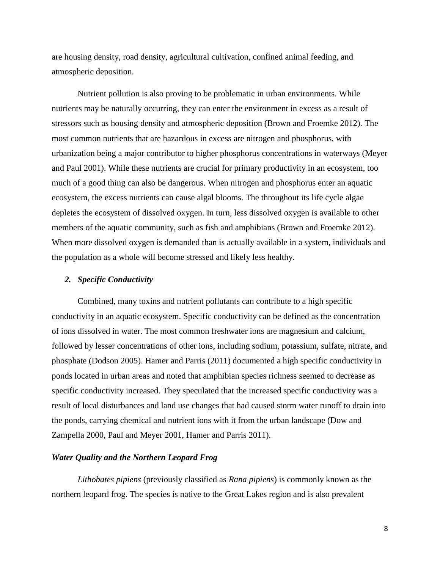are housing density, road density, agricultural cultivation, confined animal feeding, and atmospheric deposition.

Nutrient pollution is also proving to be problematic in urban environments. While nutrients may be naturally occurring, they can enter the environment in excess as a result of stressors such as housing density and atmospheric deposition (Brown and Froemke 2012). The most common nutrients that are hazardous in excess are nitrogen and phosphorus, with urbanization being a major contributor to higher phosphorus concentrations in waterways (Meyer and Paul 2001). While these nutrients are crucial for primary productivity in an ecosystem, too much of a good thing can also be dangerous. When nitrogen and phosphorus enter an aquatic ecosystem, the excess nutrients can cause algal blooms. The throughout its life cycle algae depletes the ecosystem of dissolved oxygen. In turn, less dissolved oxygen is available to other members of the aquatic community, such as fish and amphibians (Brown and Froemke 2012). When more dissolved oxygen is demanded than is actually available in a system, individuals and the population as a whole will become stressed and likely less healthy.

### *2. Specific Conductivity*

Combined, many toxins and nutrient pollutants can contribute to a high specific conductivity in an aquatic ecosystem. Specific conductivity can be defined as the concentration of ions dissolved in water. The most common freshwater ions are magnesium and calcium, followed by lesser concentrations of other ions, including sodium, potassium, sulfate, nitrate, and phosphate (Dodson 2005). Hamer and Parris (2011) documented a high specific conductivity in ponds located in urban areas and noted that amphibian species richness seemed to decrease as specific conductivity increased. They speculated that the increased specific conductivity was a result of local disturbances and land use changes that had caused storm water runoff to drain into the ponds, carrying chemical and nutrient ions with it from the urban landscape (Dow and Zampella 2000, Paul and Meyer 2001, Hamer and Parris 2011).

### *Water Quality and the Northern Leopard Frog*

*Lithobates pipiens* (previously classified as *Rana pipiens*) is commonly known as the northern leopard frog. The species is native to the Great Lakes region and is also prevalent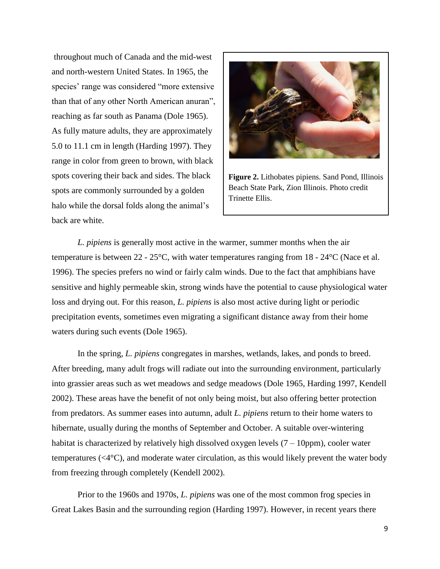throughout much of Canada and the mid-west and north-western United States. In 1965, the species' range was considered "more extensive than that of any other North American anuran", reaching as far south as Panama (Dole 1965). As fully mature adults, they are approximately 5.0 to 11.1 cm in length (Harding 1997). They range in color from green to brown, with black spots covering their back and sides. The black spots are commonly surrounded by a golden halo while the dorsal folds along the animal's back are white.



**Figure 2.** Lithobates pipiens. Sand Pond, Illinois Beach State Park, Zion Illinois. Photo credit Trinette Ellis.

*L. pipiens* is generally most active in the warmer, summer months when the air temperature is between 22 - 25°C, with water temperatures ranging from 18 - 24°C (Nace et al. 1996). The species prefers no wind or fairly calm winds. Due to the fact that amphibians have sensitive and highly permeable skin, strong winds have the potential to cause physiological water loss and drying out. For this reason, *L. pipiens* is also most active during light or periodic precipitation events, sometimes even migrating a significant distance away from their home waters during such events (Dole 1965).

In the spring, *L. pipiens* congregates in marshes, wetlands, lakes, and ponds to breed. After breeding, many adult frogs will radiate out into the surrounding environment, particularly into grassier areas such as wet meadows and sedge meadows (Dole 1965, Harding 1997, Kendell 2002). These areas have the benefit of not only being moist, but also offering better protection from predators. As summer eases into autumn, adult *L. pipiens* return to their home waters to hibernate, usually during the months of September and October. A suitable over-wintering habitat is characterized by relatively high dissolved oxygen levels  $(7 – 10ppm)$ , cooler water temperatures (<4°C), and moderate water circulation, as this would likely prevent the water body from freezing through completely (Kendell 2002).

Prior to the 1960s and 1970s, *L. pipiens* was one of the most common frog species in Great Lakes Basin and the surrounding region (Harding 1997). However, in recent years there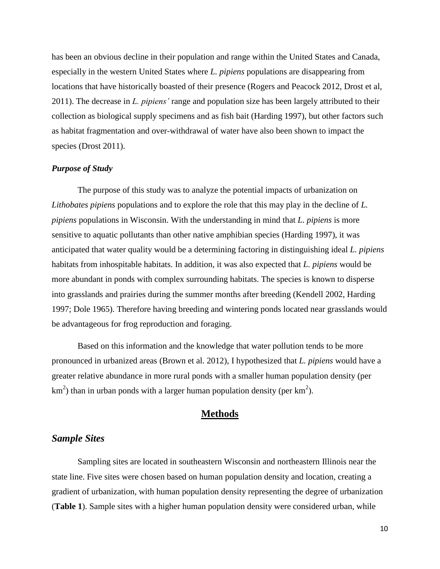has been an obvious decline in their population and range within the United States and Canada, especially in the western United States where *L. pipiens* populations are disappearing from locations that have historically boasted of their presence (Rogers and Peacock 2012, Drost et al, 2011). The decrease in *L. pipiens'* range and population size has been largely attributed to their collection as biological supply specimens and as fish bait (Harding 1997), but other factors such as habitat fragmentation and over-withdrawal of water have also been shown to impact the species (Drost 2011).

### *Purpose of Study*

The purpose of this study was to analyze the potential impacts of urbanization on *Lithobates pipiens* populations and to explore the role that this may play in the decline of *L. pipiens* populations in Wisconsin. With the understanding in mind that *L. pipiens* is more sensitive to aquatic pollutants than other native amphibian species (Harding 1997), it was anticipated that water quality would be a determining factoring in distinguishing ideal *L. pipiens* habitats from inhospitable habitats. In addition, it was also expected that *L. pipiens* would be more abundant in ponds with complex surrounding habitats. The species is known to disperse into grasslands and prairies during the summer months after breeding (Kendell 2002, Harding 1997; Dole 1965). Therefore having breeding and wintering ponds located near grasslands would be advantageous for frog reproduction and foraging.

Based on this information and the knowledge that water pollution tends to be more pronounced in urbanized areas (Brown et al. 2012), I hypothesized that *L. pipiens* would have a greater relative abundance in more rural ponds with a smaller human population density (per km<sup>2</sup>) than in urban ponds with a larger human population density (per  $km^2$ ).

### **Methods**

### *Sample Sites*

Sampling sites are located in southeastern Wisconsin and northeastern Illinois near the state line. Five sites were chosen based on human population density and location, creating a gradient of urbanization, with human population density representing the degree of urbanization (**Table 1**). Sample sites with a higher human population density were considered urban, while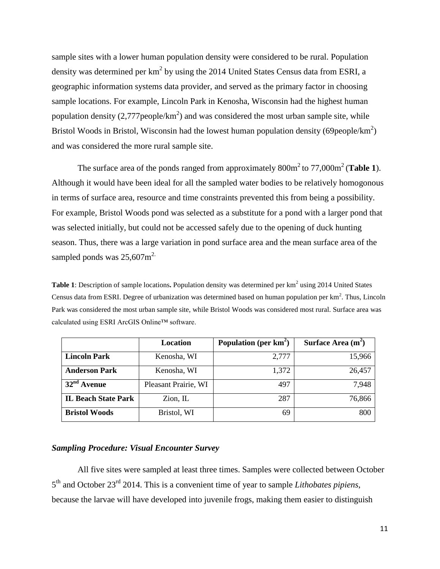sample sites with a lower human population density were considered to be rural. Population density was determined per  $km^2$  by using the 2014 United States Census data from ESRI, a geographic information systems data provider, and served as the primary factor in choosing sample locations. For example, Lincoln Park in Kenosha, Wisconsin had the highest human population density  $(2,777$  people/km<sup>2</sup>) and was considered the most urban sample site, while Bristol Woods in Bristol, Wisconsin had the lowest human population density (69 people/ $km^2$ ) and was considered the more rural sample site.

The surface area of the ponds ranged from approximately  $800m^2$  to  $77,000m^2$  (**Table 1**). Although it would have been ideal for all the sampled water bodies to be relatively homogonous in terms of surface area, resource and time constraints prevented this from being a possibility. For example, Bristol Woods pond was selected as a substitute for a pond with a larger pond that was selected initially, but could not be accessed safely due to the opening of duck hunting season. Thus, there was a large variation in pond surface area and the mean surface area of the sampled ponds was  $25,607$ m<sup>2.</sup>

Table 1: Description of sample locations. Population density was determined per km<sup>2</sup> using 2014 United States Census data from ESRI. Degree of urbanization was determined based on human population per  $km^2$ . Thus, Lincoln Park was considered the most urban sample site, while Bristol Woods was considered most rural. Surface area was calculated using ESRI ArcGIS Online™ software.

|                            | Location             | Population (per $km^2$ ) | Surface Area $(m2)$ |  |
|----------------------------|----------------------|--------------------------|---------------------|--|
| <b>Lincoln Park</b>        | Kenosha, WI          | 2,777                    | 15,966              |  |
| <b>Anderson Park</b>       | Kenosha, WI          | 1,372                    | 26,457              |  |
| $32nd$ Avenue              | Pleasant Prairie, WI | 497                      | 7,948               |  |
| <b>IL Beach State Park</b> | $Zion$ , IL          | 287                      | 76,866              |  |
| <b>Bristol Woods</b>       | Bristol, WI          | 69                       | 800                 |  |

### *Sampling Procedure: Visual Encounter Survey*

All five sites were sampled at least three times. Samples were collected between October 5 th and October 23 rd 2014. This is a convenient time of year to sample *Lithobates pipiens*, because the larvae will have developed into juvenile frogs, making them easier to distinguish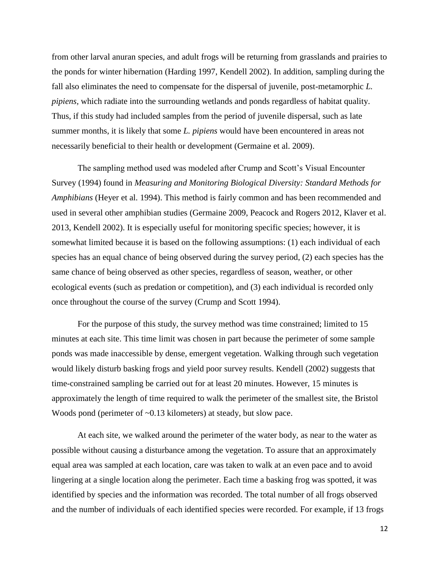from other larval anuran species, and adult frogs will be returning from grasslands and prairies to the ponds for winter hibernation (Harding 1997, Kendell 2002). In addition, sampling during the fall also eliminates the need to compensate for the dispersal of juvenile, post-metamorphic *L. pipiens,* which radiate into the surrounding wetlands and ponds regardless of habitat quality. Thus, if this study had included samples from the period of juvenile dispersal, such as late summer months, it is likely that some *L. pipiens* would have been encountered in areas not necessarily beneficial to their health or development (Germaine et al. 2009).

The sampling method used was modeled after Crump and Scott's Visual Encounter Survey (1994) found in *Measuring and Monitoring Biological Diversity: Standard Methods for Amphibians* (Heyer et al. 1994). This method is fairly common and has been recommended and used in several other amphibian studies (Germaine 2009, Peacock and Rogers 2012, Klaver et al. 2013, Kendell 2002). It is especially useful for monitoring specific species; however, it is somewhat limited because it is based on the following assumptions: (1) each individual of each species has an equal chance of being observed during the survey period, (2) each species has the same chance of being observed as other species, regardless of season, weather, or other ecological events (such as predation or competition), and (3) each individual is recorded only once throughout the course of the survey (Crump and Scott 1994).

For the purpose of this study, the survey method was time constrained; limited to 15 minutes at each site. This time limit was chosen in part because the perimeter of some sample ponds was made inaccessible by dense, emergent vegetation. Walking through such vegetation would likely disturb basking frogs and yield poor survey results. Kendell (2002) suggests that time-constrained sampling be carried out for at least 20 minutes. However, 15 minutes is approximately the length of time required to walk the perimeter of the smallest site, the Bristol Woods pond (perimeter of  $\sim 0.13$  kilometers) at steady, but slow pace.

At each site, we walked around the perimeter of the water body, as near to the water as possible without causing a disturbance among the vegetation. To assure that an approximately equal area was sampled at each location, care was taken to walk at an even pace and to avoid lingering at a single location along the perimeter. Each time a basking frog was spotted, it was identified by species and the information was recorded. The total number of all frogs observed and the number of individuals of each identified species were recorded. For example, if 13 frogs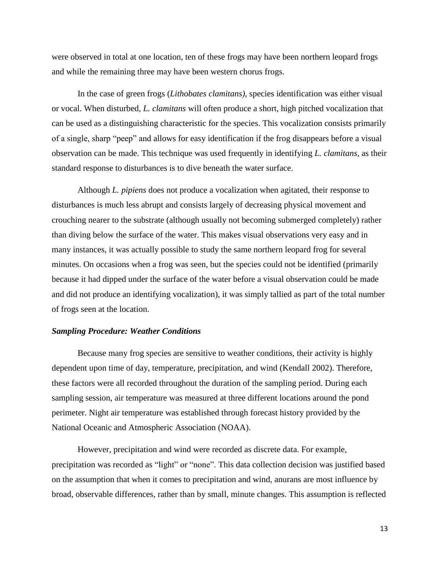were observed in total at one location, ten of these frogs may have been northern leopard frogs and while the remaining three may have been western chorus frogs.

In the case of green frogs (*Lithobates clamitans)*, species identification was either visual or vocal. When disturbed, *L. clamitans* will often produce a short, high pitched vocalization that can be used as a distinguishing characteristic for the species. This vocalization consists primarily of a single, sharp "peep" and allows for easy identification if the frog disappears before a visual observation can be made. This technique was used frequently in identifying *L. clamitans*, as their standard response to disturbances is to dive beneath the water surface.

Although *L. pipiens* does not produce a vocalization when agitated, their response to disturbances is much less abrupt and consists largely of decreasing physical movement and crouching nearer to the substrate (although usually not becoming submerged completely) rather than diving below the surface of the water. This makes visual observations very easy and in many instances, it was actually possible to study the same northern leopard frog for several minutes. On occasions when a frog was seen, but the species could not be identified (primarily because it had dipped under the surface of the water before a visual observation could be made and did not produce an identifying vocalization), it was simply tallied as part of the total number of frogs seen at the location.

### *Sampling Procedure: Weather Conditions*

Because many frog species are sensitive to weather conditions, their activity is highly dependent upon time of day, temperature, precipitation, and wind (Kendall 2002). Therefore, these factors were all recorded throughout the duration of the sampling period. During each sampling session, air temperature was measured at three different locations around the pond perimeter. Night air temperature was established through forecast history provided by the National Oceanic and Atmospheric Association (NOAA).

However, precipitation and wind were recorded as discrete data. For example, precipitation was recorded as "light" or "none". This data collection decision was justified based on the assumption that when it comes to precipitation and wind, anurans are most influence by broad, observable differences, rather than by small, minute changes. This assumption is reflected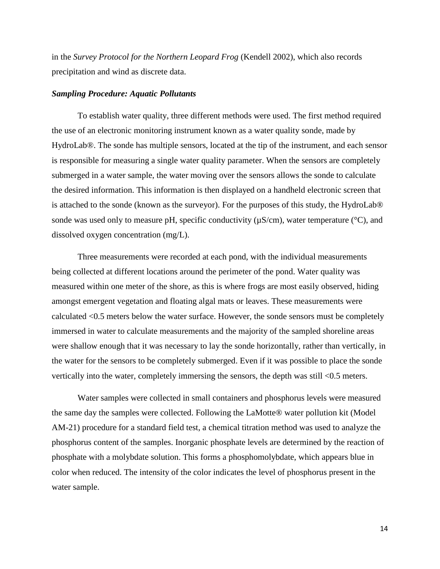in the *Survey Protocol for the Northern Leopard Frog* (Kendell 2002), which also records precipitation and wind as discrete data.

### *Sampling Procedure: Aquatic Pollutants*

To establish water quality, three different methods were used. The first method required the use of an electronic monitoring instrument known as a water quality sonde, made by HydroLab®. The sonde has multiple sensors, located at the tip of the instrument, and each sensor is responsible for measuring a single water quality parameter. When the sensors are completely submerged in a water sample, the water moving over the sensors allows the sonde to calculate the desired information. This information is then displayed on a handheld electronic screen that is attached to the sonde (known as the surveyor). For the purposes of this study, the HydroLab® sonde was used only to measure pH, specific conductivity  $(\mu S/cm)$ , water temperature ( $\degree$ C), and dissolved oxygen concentration (mg/L).

Three measurements were recorded at each pond, with the individual measurements being collected at different locations around the perimeter of the pond. Water quality was measured within one meter of the shore, as this is where frogs are most easily observed, hiding amongst emergent vegetation and floating algal mats or leaves. These measurements were calculated <0.5 meters below the water surface. However, the sonde sensors must be completely immersed in water to calculate measurements and the majority of the sampled shoreline areas were shallow enough that it was necessary to lay the sonde horizontally, rather than vertically, in the water for the sensors to be completely submerged. Even if it was possible to place the sonde vertically into the water, completely immersing the sensors, the depth was still <0.5 meters.

Water samples were collected in small containers and phosphorus levels were measured the same day the samples were collected. Following the LaMotte® water pollution kit (Model AM-21) procedure for a standard field test, a chemical titration method was used to analyze the phosphorus content of the samples. Inorganic phosphate levels are determined by the reaction of phosphate with a molybdate solution. This forms a phosphomolybdate, which appears blue in color when reduced. The intensity of the color indicates the level of phosphorus present in the water sample.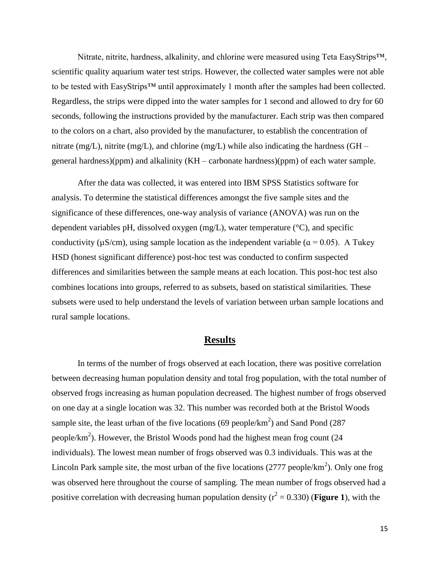Nitrate, nitrite, hardness, alkalinity, and chlorine were measured using Teta EasyStrips™, scientific quality aquarium water test strips. However, the collected water samples were not able to be tested with EasyStrips™ until approximately 1 month after the samples had been collected. Regardless, the strips were dipped into the water samples for 1 second and allowed to dry for 60 seconds, following the instructions provided by the manufacturer. Each strip was then compared to the colors on a chart, also provided by the manufacturer, to establish the concentration of nitrate (mg/L), nitrite (mg/L), and chlorine (mg/L) while also indicating the hardness (GH – general hardness)(ppm) and alkalinity (KH – carbonate hardness)(ppm) of each water sample.

After the data was collected, it was entered into IBM SPSS Statistics software for analysis. To determine the statistical differences amongst the five sample sites and the significance of these differences, one-way analysis of variance (ANOVA) was run on the dependent variables pH, dissolved oxygen (mg/L), water temperature (°C), and specific conductivity ( $\mu$ S/cm), using sample location as the independent variable ( $\alpha$  = 0.05). A Tukey HSD (honest significant difference) post-hoc test was conducted to confirm suspected differences and similarities between the sample means at each location. This post-hoc test also combines locations into groups, referred to as subsets, based on statistical similarities. These subsets were used to help understand the levels of variation between urban sample locations and rural sample locations.

### **Results**

In terms of the number of frogs observed at each location, there was positive correlation between decreasing human population density and total frog population, with the total number of observed frogs increasing as human population decreased. The highest number of frogs observed on one day at a single location was 32. This number was recorded both at the Bristol Woods sample site, the least urban of the five locations (69 people/ $km^2$ ) and Sand Pond (287 people/ $km<sup>2</sup>$ ). However, the Bristol Woods pond had the highest mean frog count (24) individuals). The lowest mean number of frogs observed was 0.3 individuals. This was at the Lincoln Park sample site, the most urban of the five locations  $(2777 \text{ people/km}^2)$ . Only one frog was observed here throughout the course of sampling. The mean number of frogs observed had a positive correlation with decreasing human population density  $(r^2 = 0.330)$  (**Figure 1**), with the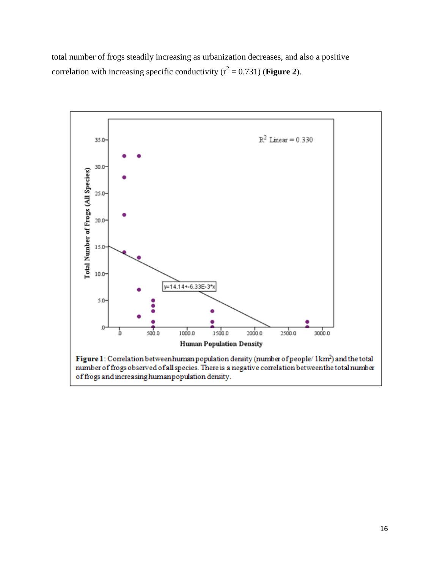total number of frogs steadily increasing as urbanization decreases, and also a positive correlation with increasing specific conductivity  $(r^2 = 0.731)$  (**Figure 2**).

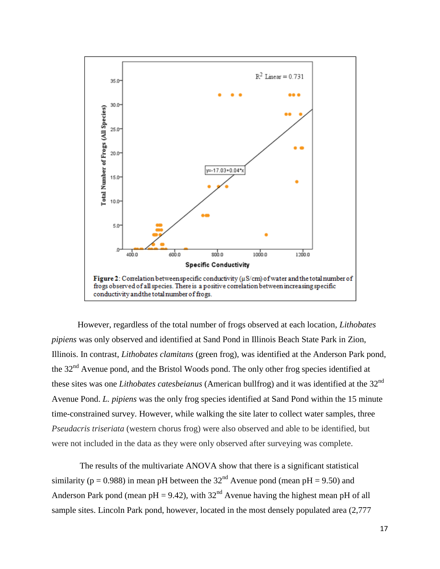

However, regardless of the total number of frogs observed at each location, *Lithobates pipiens* was only observed and identified at Sand Pond in Illinois Beach State Park in Zion, Illinois. In contrast, *Lithobates clamitans* (green frog), was identified at the Anderson Park pond, the 32<sup>nd</sup> Avenue pond, and the Bristol Woods pond. The only other frog species identified at these sites was one *Lithobates catesbeianus* (American bullfrog) and it was identified at the 32nd Avenue Pond. *L. pipiens* was the only frog species identified at Sand Pond within the 15 minute time-constrained survey. However, while walking the site later to collect water samples, three *Pseudacris triseriata* (western chorus frog) were also observed and able to be identified, but were not included in the data as they were only observed after surveying was complete.

The results of the multivariate ANOVA show that there is a significant statistical similarity ( $p = 0.988$ ) in mean pH between the 32<sup>nd</sup> Avenue pond (mean pH = 9.50) and Anderson Park pond (mean  $pH = 9.42$ ), with  $32<sup>nd</sup>$  Avenue having the highest mean  $pH$  of all sample sites. Lincoln Park pond, however, located in the most densely populated area (2,777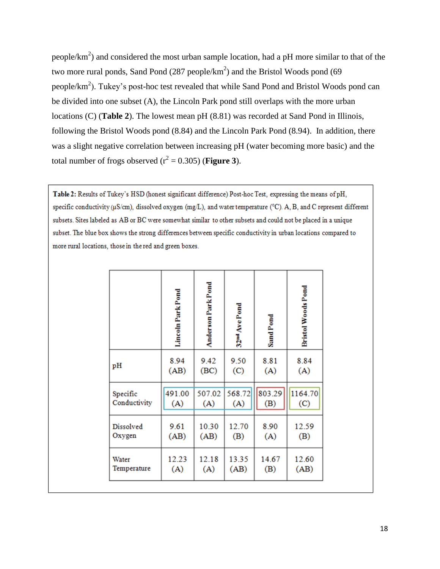people/ $km<sup>2</sup>$ ) and considered the most urban sample location, had a pH more similar to that of the two more rural ponds, Sand Pond  $(287 \text{ people/km}^2)$  and the Bristol Woods pond  $(69 \text{$ people/ $km<sup>2</sup>$ ). Tukey's post-hoc test revealed that while Sand Pond and Bristol Woods pond can be divided into one subset (A), the Lincoln Park pond still overlaps with the more urban locations (C) (**Table 2**). The lowest mean pH (8.81) was recorded at Sand Pond in Illinois, following the Bristol Woods pond (8.84) and the Lincoln Park Pond (8.94). In addition, there was a slight negative correlation between increasing pH (water becoming more basic) and the total number of frogs observed  $(r^2 = 0.305)$  (**Figure 3**).

Table 2: Results of Tukey's HSD (honest significant difference) Post-hoc Test, expressing the means of pH, specific conductivity ( $\mu$ S/cm), dissolved oxygen (mg/L), and water temperature ( $^{\circ}$ C). A, B, and C represent different subsets. Sites labeled as AB or BC were somewhat similar to other subsets and could not be placed in a unique subset. The blue box shows the strong differences between specific conductivity in urban locations compared to more rural locations, those in the red and green boxes.

|                  | Lincoln Park Pond | Anderson Park Pond | 32 <sup>nd</sup> Ave Pond | Sand Pond | <b>Bristol Woods Pond</b> |
|------------------|-------------------|--------------------|---------------------------|-----------|---------------------------|
| pH               | 8.94              | 9.42               | 9.50                      | 8.81      | 8.84                      |
|                  | (AB)              | (BC)               | (C)                       | (A)       | (A)                       |
| Specific         | 491.00            | 507.02             | 568.72                    | 803.29    | 1164.70                   |
| Conductivity     | (A)               | (A)                | (A)                       | (B)       | (C)                       |
| <b>Dissolved</b> | 9.61              | 10.30              | 12.70                     | 8.90      | 12.59                     |
| Oxygen           | (AB)              | (AB)               | (B)                       | (A)       | (B)                       |
| Water            | 12.23             | 12.18              | 13.35                     | 14.67     | 12.60                     |
| Temperature      | (A)               | (A)                | (AB)                      | (B)       | (AB)                      |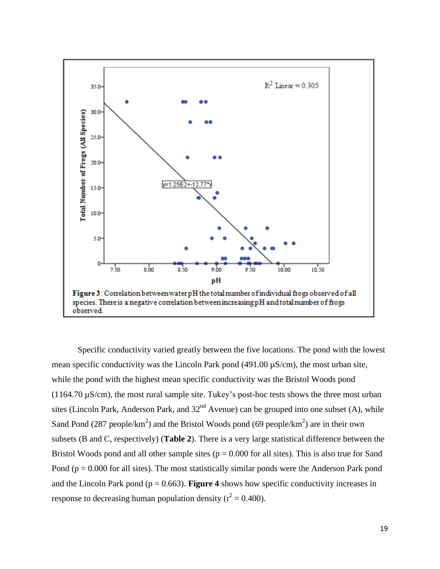

Specific conductivity varied greatly between the five locations. The pond with the lowest mean specific conductivity was the Lincoln Park pond  $(491.00 \mu S/cm)$ , the most urban site, while the pond with the highest mean specific conductivity was the Bristol Woods pond (1164.70  $\mu$ S/cm), the most rural sample site. Tukey's post-hoc tests shows the three most urban sites (Lincoln Park, Anderson Park, and  $32<sup>nd</sup>$  Avenue) can be grouped into one subset (A), while Sand Pond (287 people/ $km^2$ ) and the Bristol Woods pond (69 people/ $km^2$ ) are in their own subsets (B and C, respectively) (**Table 2**). There is a very large statistical difference between the Bristol Woods pond and all other sample sites ( $p = 0.000$  for all sites). This is also true for Sand Pond ( $p = 0.000$  for all sites). The most statistically similar ponds were the Anderson Park pond and the Lincoln Park pond ( $p = 0.663$ ). **Figure 4** shows how specific conductivity increases in response to decreasing human population density ( $r^2 = 0.400$ ).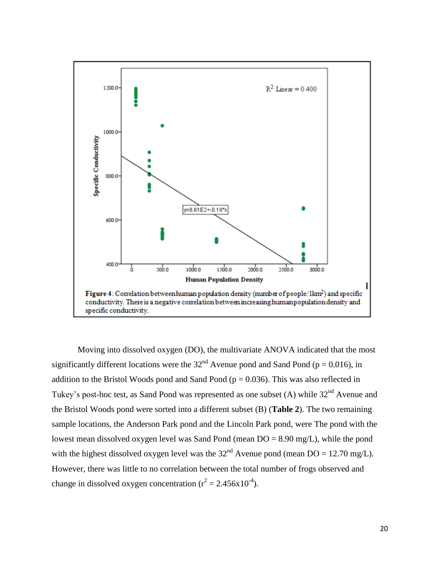

Moving into dissolved oxygen (DO), the multivariate ANOVA indicated that the most significantly different locations were the  $32<sup>nd</sup>$  Avenue pond and Sand Pond (p = 0.016), in addition to the Bristol Woods pond and Sand Pond ( $p = 0.036$ ). This was also reflected in Tukey's post-hoc test, as Sand Pond was represented as one subset (A) while 32<sup>nd</sup> Avenue and the Bristol Woods pond were sorted into a different subset (B) (**Table 2**). The two remaining sample locations, the Anderson Park pond and the Lincoln Park pond, were The pond with the lowest mean dissolved oxygen level was Sand Pond (mean  $DO = 8.90$  mg/L), while the pond with the highest dissolved oxygen level was the  $32<sup>nd</sup>$  Avenue pond (mean DO = 12.70 mg/L). However, there was little to no correlation between the total number of frogs observed and change in dissolved oxygen concentration ( $r^2 = 2.456 \times 10^{-4}$ ).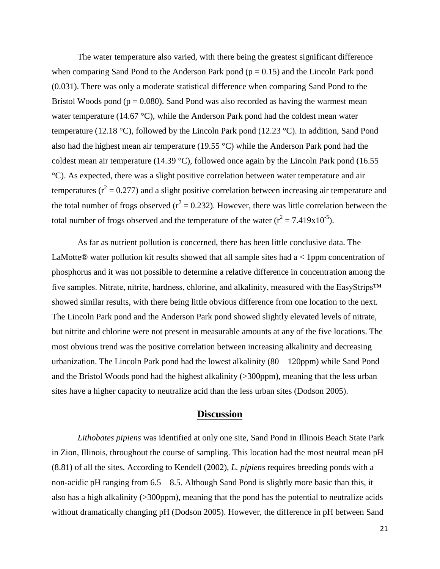The water temperature also varied, with there being the greatest significant difference when comparing Sand Pond to the Anderson Park pond  $(p = 0.15)$  and the Lincoln Park pond (0.031). There was only a moderate statistical difference when comparing Sand Pond to the Bristol Woods pond ( $p = 0.080$ ). Sand Pond was also recorded as having the warmest mean water temperature (14.67 °C), while the Anderson Park pond had the coldest mean water temperature (12.18 °C), followed by the Lincoln Park pond (12.23 °C). In addition, Sand Pond also had the highest mean air temperature (19.55 °C) while the Anderson Park pond had the coldest mean air temperature (14.39 °C), followed once again by the Lincoln Park pond (16.55 °C). As expected, there was a slight positive correlation between water temperature and air temperatures ( $r^2 = 0.277$ ) and a slight positive correlation between increasing air temperature and the total number of frogs observed ( $r^2 = 0.232$ ). However, there was little correlation between the total number of frogs observed and the temperature of the water  $(r^2 = 7.419x10^{-5})$ .

As far as nutrient pollution is concerned, there has been little conclusive data. The LaMotte® water pollution kit results showed that all sample sites had  $a < 1$  ppm concentration of phosphorus and it was not possible to determine a relative difference in concentration among the five samples. Nitrate, nitrite, hardness, chlorine, and alkalinity, measured with the EasyStrips™ showed similar results, with there being little obvious difference from one location to the next. The Lincoln Park pond and the Anderson Park pond showed slightly elevated levels of nitrate, but nitrite and chlorine were not present in measurable amounts at any of the five locations. The most obvious trend was the positive correlation between increasing alkalinity and decreasing urbanization. The Lincoln Park pond had the lowest alkalinity (80 – 120ppm) while Sand Pond and the Bristol Woods pond had the highest alkalinity (>300ppm), meaning that the less urban sites have a higher capacity to neutralize acid than the less urban sites (Dodson 2005).

### **Discussion**

*Lithobates pipiens* was identified at only one site, Sand Pond in Illinois Beach State Park in Zion, Illinois, throughout the course of sampling. This location had the most neutral mean pH (8.81) of all the sites. According to Kendell (2002), *L. pipiens* requires breeding ponds with a non-acidic pH ranging from 6.5 – 8.5. Although Sand Pond is slightly more basic than this, it also has a high alkalinity (>300ppm), meaning that the pond has the potential to neutralize acids without dramatically changing pH (Dodson 2005). However, the difference in pH between Sand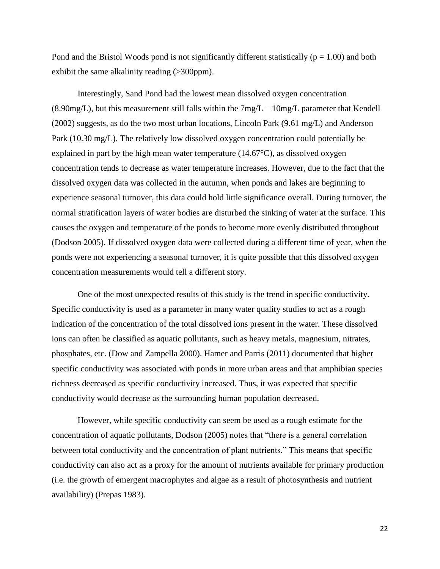Pond and the Bristol Woods pond is not significantly different statistically ( $p = 1.00$ ) and both exhibit the same alkalinity reading (>300ppm).

Interestingly, Sand Pond had the lowest mean dissolved oxygen concentration  $(8.90mg/L)$ , but this measurement still falls within the  $7mg/L - 10mg/L$  parameter that Kendell (2002) suggests, as do the two most urban locations, Lincoln Park (9.61 mg/L) and Anderson Park (10.30 mg/L). The relatively low dissolved oxygen concentration could potentially be explained in part by the high mean water temperature  $(14.67^{\circ}C)$ , as dissolved oxygen concentration tends to decrease as water temperature increases. However, due to the fact that the dissolved oxygen data was collected in the autumn, when ponds and lakes are beginning to experience seasonal turnover, this data could hold little significance overall. During turnover, the normal stratification layers of water bodies are disturbed the sinking of water at the surface. This causes the oxygen and temperature of the ponds to become more evenly distributed throughout (Dodson 2005). If dissolved oxygen data were collected during a different time of year, when the ponds were not experiencing a seasonal turnover, it is quite possible that this dissolved oxygen concentration measurements would tell a different story.

One of the most unexpected results of this study is the trend in specific conductivity. Specific conductivity is used as a parameter in many water quality studies to act as a rough indication of the concentration of the total dissolved ions present in the water. These dissolved ions can often be classified as aquatic pollutants, such as heavy metals, magnesium, nitrates, phosphates, etc. (Dow and Zampella 2000). Hamer and Parris (2011) documented that higher specific conductivity was associated with ponds in more urban areas and that amphibian species richness decreased as specific conductivity increased. Thus, it was expected that specific conductivity would decrease as the surrounding human population decreased.

However, while specific conductivity can seem be used as a rough estimate for the concentration of aquatic pollutants, Dodson (2005) notes that "there is a general correlation between total conductivity and the concentration of plant nutrients." This means that specific conductivity can also act as a proxy for the amount of nutrients available for primary production (i.e. the growth of emergent macrophytes and algae as a result of photosynthesis and nutrient availability) (Prepas 1983).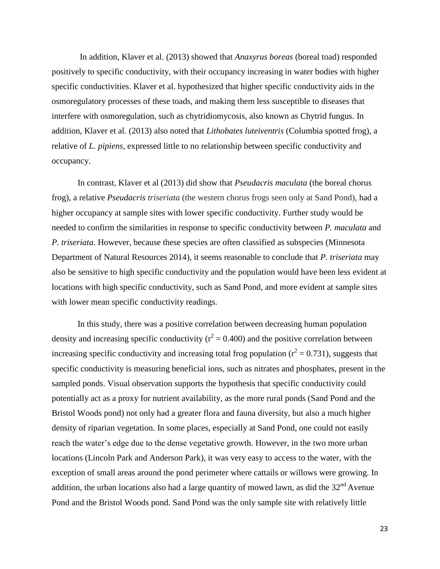In addition, Klaver et al. (2013) showed that *Anaxyrus boreas* (boreal toad) responded positively to specific conductivity, with their occupancy increasing in water bodies with higher specific conductivities. Klaver et al. hypothesized that higher specific conductivity aids in the osmoregulatory processes of these toads, and making them less susceptible to diseases that interfere with osmoregulation, such as chytridiomycosis, also known as Chytrid fungus. In addition, Klaver et al. (2013) also noted that *Lithobates luteiventris* (Columbia spotted frog), a relative of *L. pipiens,* expressed little to no relationship between specific conductivity and occupancy.

In contrast, Klaver et al (2013) did show that *Pseudacris maculata* (the boreal chorus frog), a relative *Pseudacris triseriata* (the western chorus frogs seen only at Sand Pond)*,* had a higher occupancy at sample sites with lower specific conductivity. Further study would be needed to confirm the similarities in response to specific conductivity between *P. maculata* and *P. triseriata*. However, because these species are often classified as subspecies (Minnesota Department of Natural Resources 2014), it seems reasonable to conclude that *P. triseriata* may also be sensitive to high specific conductivity and the population would have been less evident at locations with high specific conductivity, such as Sand Pond, and more evident at sample sites with lower mean specific conductivity readings.

In this study, there was a positive correlation between decreasing human population density and increasing specific conductivity ( $r^2 = 0.400$ ) and the positive correlation between increasing specific conductivity and increasing total frog population ( $r^2 = 0.731$ ), suggests that specific conductivity is measuring beneficial ions, such as nitrates and phosphates, present in the sampled ponds. Visual observation supports the hypothesis that specific conductivity could potentially act as a proxy for nutrient availability, as the more rural ponds (Sand Pond and the Bristol Woods pond) not only had a greater flora and fauna diversity, but also a much higher density of riparian vegetation. In some places, especially at Sand Pond, one could not easily reach the water's edge due to the dense vegetative growth. However, in the two more urban locations (Lincoln Park and Anderson Park), it was very easy to access to the water, with the exception of small areas around the pond perimeter where cattails or willows were growing. In addition, the urban locations also had a large quantity of mowed lawn, as did the  $32<sup>nd</sup>$  Avenue Pond and the Bristol Woods pond. Sand Pond was the only sample site with relatively little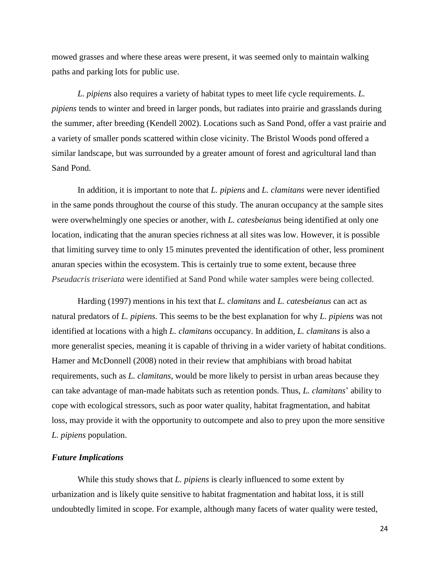mowed grasses and where these areas were present, it was seemed only to maintain walking paths and parking lots for public use.

*L. pipiens* also requires a variety of habitat types to meet life cycle requirements. *L. pipiens* tends to winter and breed in larger ponds, but radiates into prairie and grasslands during the summer, after breeding (Kendell 2002). Locations such as Sand Pond, offer a vast prairie and a variety of smaller ponds scattered within close vicinity. The Bristol Woods pond offered a similar landscape, but was surrounded by a greater amount of forest and agricultural land than Sand Pond.

In addition, it is important to note that *L. pipiens* and *L. clamitans* were never identified in the same ponds throughout the course of this study. The anuran occupancy at the sample sites were overwhelmingly one species or another, with *L. catesbeianus* being identified at only one location, indicating that the anuran species richness at all sites was low. However, it is possible that limiting survey time to only 15 minutes prevented the identification of other, less prominent anuran species within the ecosystem. This is certainly true to some extent, because three *Pseudacris triseriata* were identified at Sand Pond while water samples were being collected.

Harding (1997) mentions in his text that *L. clamitans* and *L. catesbeianus* can act as natural predators of *L. pipiens.* This seems to be the best explanation for why *L. pipiens* was not identified at locations with a high *L. clamitans* occupancy. In addition, *L. clamitans* is also a more generalist species, meaning it is capable of thriving in a wider variety of habitat conditions. Hamer and McDonnell (2008) noted in their review that amphibians with broad habitat requirements, such as *L. clamitans*, would be more likely to persist in urban areas because they can take advantage of man-made habitats such as retention ponds. Thus, *L. clamitans*' ability to cope with ecological stressors, such as poor water quality, habitat fragmentation, and habitat loss, may provide it with the opportunity to outcompete and also to prey upon the more sensitive *L. pipiens* population.

#### *Future Implications*

While this study shows that *L. pipiens* is clearly influenced to some extent by urbanization and is likely quite sensitive to habitat fragmentation and habitat loss, it is still undoubtedly limited in scope. For example, although many facets of water quality were tested,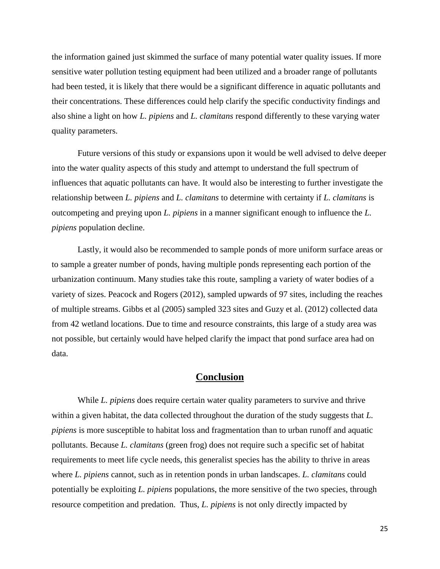the information gained just skimmed the surface of many potential water quality issues. If more sensitive water pollution testing equipment had been utilized and a broader range of pollutants had been tested, it is likely that there would be a significant difference in aquatic pollutants and their concentrations. These differences could help clarify the specific conductivity findings and also shine a light on how *L. pipiens* and *L. clamitans* respond differently to these varying water quality parameters.

Future versions of this study or expansions upon it would be well advised to delve deeper into the water quality aspects of this study and attempt to understand the full spectrum of influences that aquatic pollutants can have. It would also be interesting to further investigate the relationship between *L. pipiens* and *L. clamitans* to determine with certainty if *L. clamitans* is outcompeting and preying upon *L. pipiens* in a manner significant enough to influence the *L. pipiens* population decline.

Lastly, it would also be recommended to sample ponds of more uniform surface areas or to sample a greater number of ponds, having multiple ponds representing each portion of the urbanization continuum. Many studies take this route, sampling a variety of water bodies of a variety of sizes. Peacock and Rogers (2012), sampled upwards of 97 sites, including the reaches of multiple streams. Gibbs et al (2005) sampled 323 sites and Guzy et al. (2012) collected data from 42 wetland locations. Due to time and resource constraints, this large of a study area was not possible, but certainly would have helped clarify the impact that pond surface area had on data.

# **Conclusion**

While *L. pipiens* does require certain water quality parameters to survive and thrive within a given habitat, the data collected throughout the duration of the study suggests that *L. pipiens* is more susceptible to habitat loss and fragmentation than to urban runoff and aquatic pollutants. Because *L. clamitans* (green frog) does not require such a specific set of habitat requirements to meet life cycle needs, this generalist species has the ability to thrive in areas where *L. pipiens* cannot, such as in retention ponds in urban landscapes. *L. clamitans* could potentially be exploiting *L. pipiens* populations, the more sensitive of the two species, through resource competition and predation. Thus, *L. pipiens* is not only directly impacted by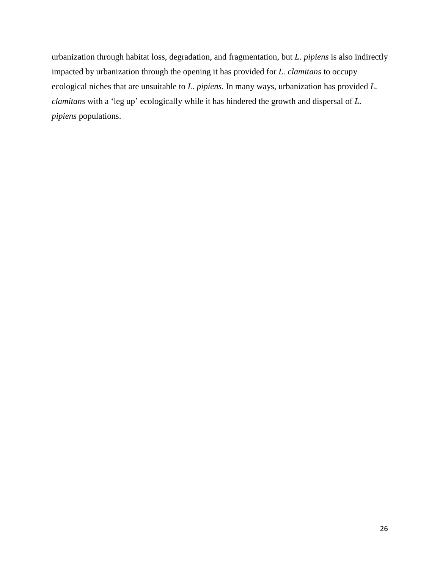urbanization through habitat loss, degradation, and fragmentation, but *L. pipiens* is also indirectly impacted by urbanization through the opening it has provided for *L. clamitans* to occupy ecological niches that are unsuitable to *L. pipiens.* In many ways, urbanization has provided *L. clamitans* with a 'leg up' ecologically while it has hindered the growth and dispersal of *L. pipiens* populations.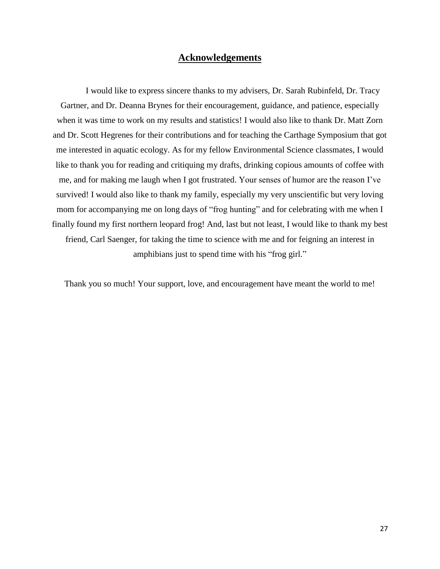# **Acknowledgements**

I would like to express sincere thanks to my advisers, Dr. Sarah Rubinfeld, Dr. Tracy Gartner, and Dr. Deanna Brynes for their encouragement, guidance, and patience, especially when it was time to work on my results and statistics! I would also like to thank Dr. Matt Zorn and Dr. Scott Hegrenes for their contributions and for teaching the Carthage Symposium that got me interested in aquatic ecology. As for my fellow Environmental Science classmates, I would like to thank you for reading and critiquing my drafts, drinking copious amounts of coffee with me, and for making me laugh when I got frustrated. Your senses of humor are the reason I've survived! I would also like to thank my family, especially my very unscientific but very loving mom for accompanying me on long days of "frog hunting" and for celebrating with me when I finally found my first northern leopard frog! And, last but not least, I would like to thank my best friend, Carl Saenger, for taking the time to science with me and for feigning an interest in amphibians just to spend time with his "frog girl."

Thank you so much! Your support, love, and encouragement have meant the world to me!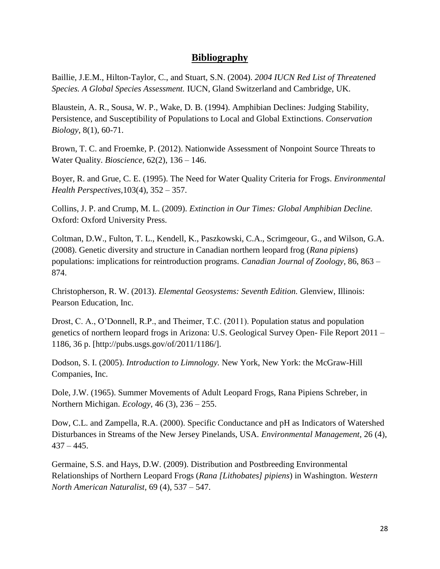# **Bibliography**

Baillie, J.E.M., Hilton-Taylor, C., and Stuart, S.N. (2004). *2004 IUCN Red List of Threatened Species. A Global Species Assessment.* IUCN, Gland Switzerland and Cambridge, UK.

Blaustein, A. R., Sousa, W. P., Wake, D. B. (1994). Amphibian Declines: Judging Stability, Persistence, and Susceptibility of Populations to Local and Global Extinctions. *Conservation Biology*, 8(1), 60-71.

Brown, T. C. and Froemke, P. (2012). Nationwide Assessment of Nonpoint Source Threats to Water Quality. *Bioscience*, 62(2), 136 – 146.

Boyer, R. and Grue, C. E. (1995). The Need for Water Quality Criteria for Frogs. *Environmental Health Perspectives,*103(4), 352 – 357.

Collins, J. P. and Crump, M. L. (2009). *Extinction in Our Times: Global Amphibian Decline.* Oxford: Oxford University Press.

Coltman, D.W., Fulton, T. L., Kendell, K., Paszkowski, C.A., Scrimgeour, G., and Wilson, G.A. (2008). Genetic diversity and structure in Canadian northern leopard frog (*Rana pipiens*) populations: implications for reintroduction programs. *Canadian Journal of Zoology,* 86, 863 – 874.

Christopherson, R. W. (2013). *Elemental Geosystems: Seventh Edition.* Glenview, Illinois: Pearson Education, Inc.

Drost, C. A., O'Donnell, R.P., and Theimer, T.C. (2011). Population status and population genetics of northern leopard frogs in Arizona: U.S. Geological Survey Open- File Report 2011 – 1186, 36 p. [http://pubs.usgs.gov/of/2011/1186/].

Dodson, S. I. (2005). *Introduction to Limnology.* New York, New York: the McGraw-Hill Companies, Inc.

Dole, J.W. (1965). Summer Movements of Adult Leopard Frogs, Rana Pipiens Schreber, in Northern Michigan. *Ecology*, 46 (3), 236 – 255.

Dow, C.L. and Zampella, R.A. (2000). Specific Conductance and pH as Indicators of Watershed Disturbances in Streams of the New Jersey Pinelands, USA. *Environmental Management*, 26 (4),  $437 - 445.$ 

Germaine, S.S. and Hays, D.W. (2009). Distribution and Postbreeding Environmental Relationships of Northern Leopard Frogs (*Rana [Lithobates] pipiens*) in Washington. *Western North American Naturalist,* 69 (4), 537 – 547.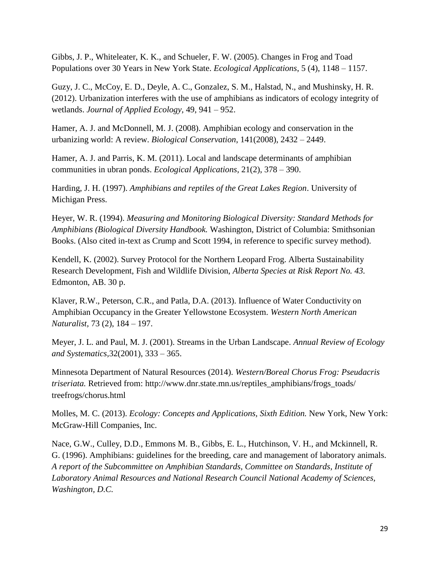Gibbs, J. P., Whiteleater, K. K., and Schueler, F. W. (2005). Changes in Frog and Toad Populations over 30 Years in New York State. *Ecological Applications*, 5 (4), 1148 – 1157.

Guzy, J. C., McCoy, E. D., Deyle, A. C., Gonzalez, S. M., Halstad, N., and Mushinsky, H. R. (2012). Urbanization interferes with the use of amphibians as indicators of ecology integrity of wetlands. *Journal of Applied Ecology,* 49, 941 – 952.

Hamer, A. J. and McDonnell, M. J. (2008). Amphibian ecology and conservation in the urbanizing world: A review. *Biological Conservation*, 141(2008), 2432 – 2449.

Hamer, A. J. and Parris, K. M. (2011). Local and landscape determinants of amphibian communities in ubran ponds. *Ecological Applications,* 21(2), 378 – 390.

Harding, J. H. (1997). *Amphibians and reptiles of the Great Lakes Region*. University of Michigan Press.

Heyer, W. R. (1994). *Measuring and Monitoring Biological Diversity: Standard Methods for Amphibians (Biological Diversity Handbook.* Washington, District of Columbia: Smithsonian Books. (Also cited in-text as Crump and Scott 1994, in reference to specific survey method).

Kendell, K. (2002). Survey Protocol for the Northern Leopard Frog. Alberta Sustainability Research Development, Fish and Wildlife Division, *Alberta Species at Risk Report No. 43.*  Edmonton, AB. 30 p.

Klaver, R.W., Peterson, C.R., and Patla, D.A. (2013). Influence of Water Conductivity on Amphibian Occupancy in the Greater Yellowstone Ecosystem. *Western North American Naturalist,* 73 (2), 184 – 197.

Meyer, J. L. and Paul, M. J. (2001). Streams in the Urban Landscape. *Annual Review of Ecology and Systematics,*32(2001), 333 – 365.

Minnesota Department of Natural Resources (2014). *Western/Boreal Chorus Frog: Pseudacris triseriata.* Retrieved from: http://www.dnr.state.mn.us/reptiles\_amphibians/frogs\_toads/ treefrogs/chorus.html

Molles, M. C. (2013). *Ecology: Concepts and Applications, Sixth Edition.* New York, New York: McGraw-Hill Companies, Inc.

Nace, G.W., Culley, D.D., Emmons M. B., Gibbs, E. L., Hutchinson, V. H., and Mckinnell, R. G. (1996). Amphibians: guidelines for the breeding, care and management of laboratory animals. *A report of the Subcommittee on Amphibian Standards, Committee on Standards, Institute of Laboratory Animal Resources and National Research Council National Academy of Sciences, Washington, D.C.*